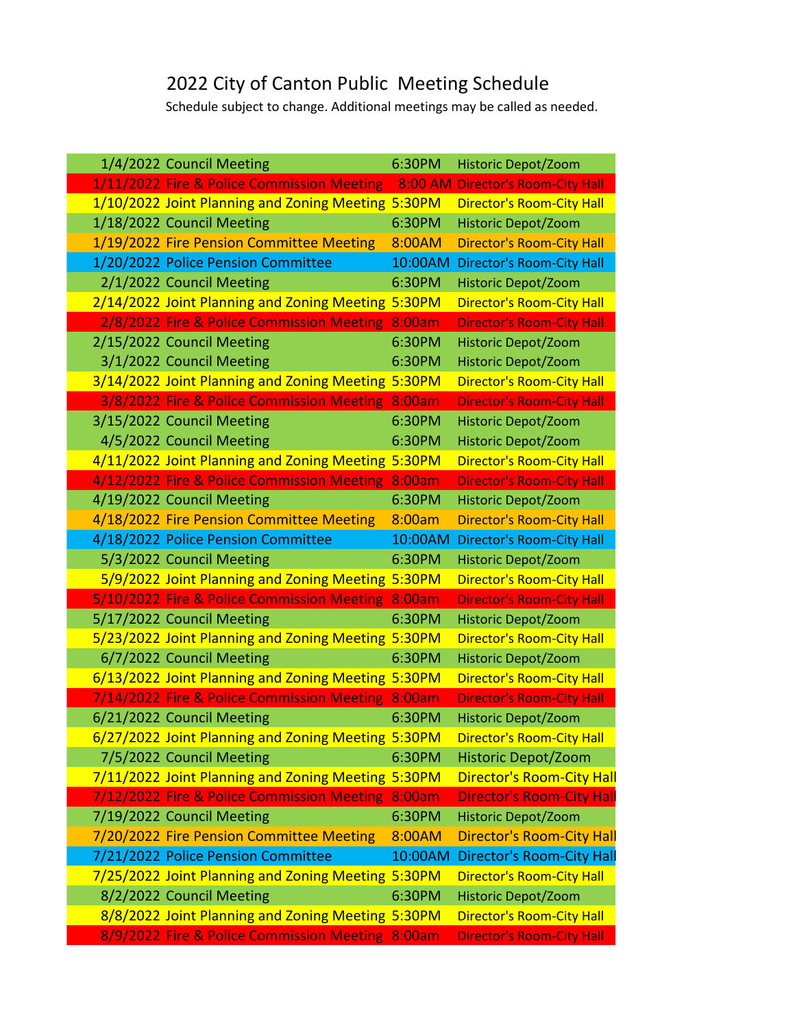## 2022 City of Canton Public Meeting Schedule

Schedule subject to change. Additional meetings may be called as needed.

|  | 1/4/2022 Council Meeting                           | 6:30PM  | <b>Historic Depot/Zoom</b>       |
|--|----------------------------------------------------|---------|----------------------------------|
|  | 1/11/2022 Fire & Police Commission Meeting         | 8:00 AM | <b>Director's Room-City Hall</b> |
|  | 1/10/2022 Joint Planning and Zoning Meeting 5:30PM |         | <b>Director's Room-City Hall</b> |
|  | 1/18/2022 Council Meeting                          | 6:30PM  | <b>Historic Depot/Zoom</b>       |
|  | 1/19/2022 Fire Pension Committee Meeting           | 8:00AM  | <b>Director's Room-City Hall</b> |
|  | 1/20/2022 Police Pension Committee                 | 10:00AM | <b>Director's Room-City Hall</b> |
|  | 2/1/2022 Council Meeting                           | 6:30PM  | <b>Historic Depot/Zoom</b>       |
|  | 2/14/2022 Joint Planning and Zoning Meeting 5:30PM |         | <b>Director's Room-City Hall</b> |
|  | 2/8/2022 Fire & Police Commission Meeting          | 8:00am  | <b>Director's Room-City Hall</b> |
|  | 2/15/2022 Council Meeting                          | 6:30PM  | <b>Historic Depot/Zoom</b>       |
|  | 3/1/2022 Council Meeting                           | 6:30PM  | <b>Historic Depot/Zoom</b>       |
|  | 3/14/2022 Joint Planning and Zoning Meeting 5:30PM |         | <b>Director's Room-City Hall</b> |
|  | 3/8/2022 Fire & Police Commission Meeting          | 8:00am  | <b>Director's Room-City Hall</b> |
|  | 3/15/2022 Council Meeting                          | 6:30PM  | <b>Historic Depot/Zoom</b>       |
|  | 4/5/2022 Council Meeting                           | 6:30PM  | <b>Historic Depot/Zoom</b>       |
|  | 4/11/2022 Joint Planning and Zoning Meeting        | 5:30PM  | <b>Director's Room-City Hall</b> |
|  | 4/12/2022 Fire & Police Commission Meeting         | 8:00am  | <b>Director's Room-City Hall</b> |
|  | 4/19/2022 Council Meeting                          | 6:30PM  | <b>Historic Depot/Zoom</b>       |
|  | 4/18/2022 Fire Pension Committee Meeting           | 8:00am  | <b>Director's Room-City Hall</b> |
|  | 4/18/2022 Police Pension Committee                 | 10:00AM | <b>Director's Room-City Hall</b> |
|  | 5/3/2022 Council Meeting                           | 6:30PM  | <b>Historic Depot/Zoom</b>       |
|  | 5/9/2022 Joint Planning and Zoning Meeting 5:30PM  |         | <b>Director's Room-City Hall</b> |
|  | 5/10/2022 Fire & Police Commission Meeting         | 8:00am  | <b>Director's Room-City Hall</b> |
|  | 5/17/2022 Council Meeting                          | 6:30PM  | <b>Historic Depot/Zoom</b>       |
|  | 5/23/2022 Joint Planning and Zoning Meeting 5:30PM |         | <b>Director's Room-City Hall</b> |
|  | 6/7/2022 Council Meeting                           | 6:30PM  | <b>Historic Depot/Zoom</b>       |
|  | 6/13/2022 Joint Planning and Zoning Meeting 5:30PM |         | <b>Director's Room-City Hall</b> |
|  | 7/14/2022 Fire & Police Commission Meeting         | 8:00am  | <b>Director's Room-City Hall</b> |
|  | 6/21/2022 Council Meeting                          | 6:30PM  | Historic Depot/Zoom              |
|  | 6/27/2022 Joint Planning and Zoning Meeting 5:30PM |         | <b>Director's Room-City Hall</b> |
|  | 7/5/2022 Council Meeting                           | 6:30PM  | Historic Depot/Zoom              |
|  | 7/11/2022 Joint Planning and Zoning Meeting 5:30PM |         | <b>Director's Room-City Hall</b> |
|  | 7/12/2022 Fire & Police Commission Meeting         | 8:00am  | <b>Director's Room-City Hall</b> |
|  | 7/19/2022 Council Meeting                          | 6:30PM  | <b>Historic Depot/Zoom</b>       |
|  | 7/20/2022 Fire Pension Committee Meeting           | 8:00AM  | <b>Director's Room-City Hall</b> |
|  | 7/21/2022 Police Pension Committee                 | 10:00AM | <b>Director's Room-City Hall</b> |
|  | 7/25/2022 Joint Planning and Zoning Meeting 5:30PM |         | <b>Director's Room-City Hall</b> |
|  | 8/2/2022 Council Meeting                           | 6:30PM  | <b>Historic Depot/Zoom</b>       |
|  | 8/8/2022 Joint Planning and Zoning Meeting 5:30PM  |         | <b>Director's Room-City Hall</b> |
|  | 8/9/2022 Fire & Police Commission Meeting 8:00am   |         | <b>Director's Room-City Hall</b> |